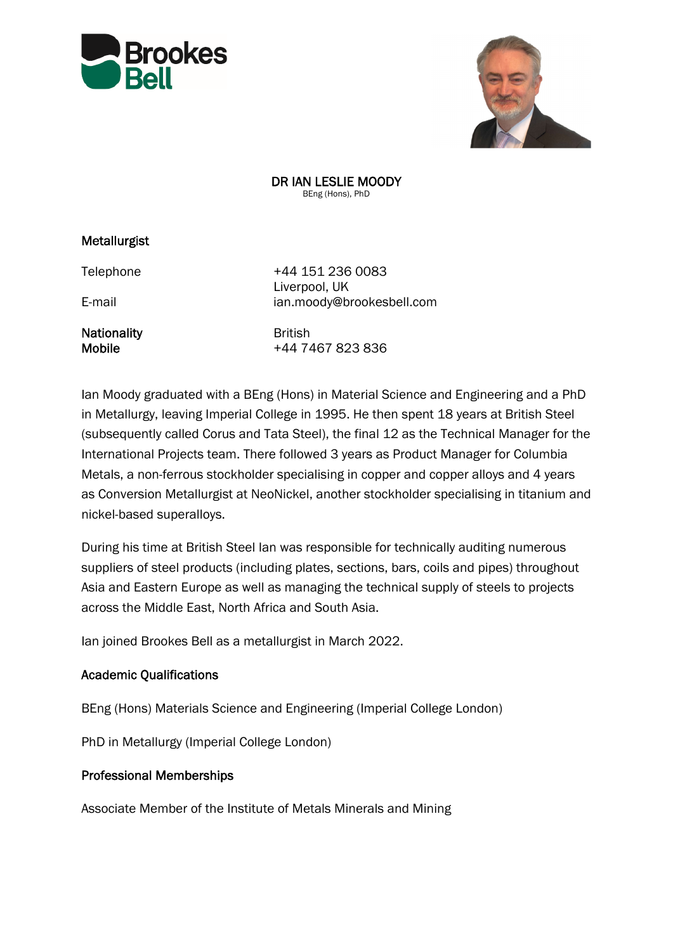



DR IAN LESLIE MOODY BEng (Hons), PhD

## Metallurgist

Nationality **British** 

Telephone +44 151 236 0083 Liverpool, UK E-mail ian.moody@brookesbell.com

Mobile +44 7467 823 836

Ian Moody graduated with a BEng (Hons) in Material Science and Engineering and a PhD in Metallurgy, leaving Imperial College in 1995. He then spent 18 years at British Steel (subsequently called Corus and Tata Steel), the final 12 as the Technical Manager for the International Projects team. There followed 3 years as Product Manager for Columbia Metals, a non-ferrous stockholder specialising in copper and copper alloys and 4 years as Conversion Metallurgist at NeoNickel, another stockholder specialising in titanium and nickel-based superalloys.

During his time at British Steel Ian was responsible for technically auditing numerous suppliers of steel products (including plates, sections, bars, coils and pipes) throughout Asia and Eastern Europe as well as managing the technical supply of steels to projects across the Middle East, North Africa and South Asia.

Ian joined Brookes Bell as a metallurgist in March 2022.

## Academic Qualifications

BEng (Hons) Materials Science and Engineering (Imperial College London)

PhD in Metallurgy (Imperial College London)

## Professional Memberships

Associate Member of the Institute of Metals Minerals and Mining